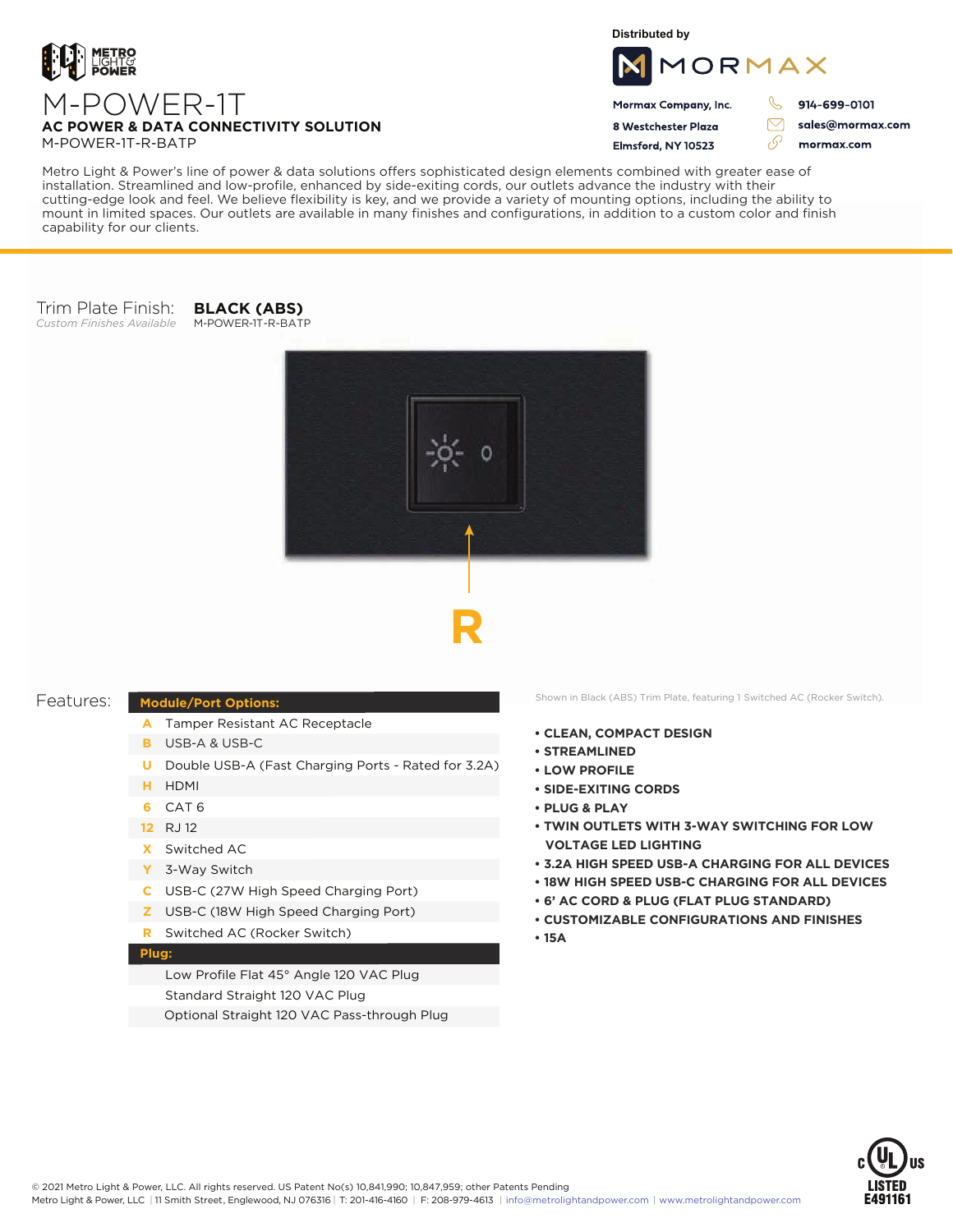

**Distributed by**



Mormax Company, Inc. 8 Westchester Plaza

Flmsford, NY 10523

ת 914-699-0101

 $\triangledown$ 

76

sales@mormax.com mormax.com

M-POWER-1T-R-BATP

Metro Light & Power's line of power & data solutions offers sophisticated design elements combined with greater ease of installation. Streamlined and low-profile, enhanced by side-exiting cords, our outlets advance the industry with their cutting-edge look and feel. We believe flexibility is key, and we provide a variety of mounting options, including the ability to mount in limited spaces. Our outlets are available in many finishes and configurations, in addition to a custom color and finish capability for our clients.

## Trim Plate Finish:

*Custom Finishes Available* M-POWER-1T-R-BATP **BLACK (ABS)**





## **Module/Port Options:**

- A Tamper Resistant AC Receptacle
- USB-A & USB-C **B**
- U Double USB-A (Fast Charging Ports Rated for 3.2A)
- HDMI **H**
- CAT 6 **6**
- 12 RJ 12
- Switched AC **X**
- 3-Way Switch **Y**
- USB-C (27W High Speed Charging Port) **C**
- USB-C (18W High Speed Charging Port) **Z**
- Switched AC (Rocker Switch) **R**

## **Plug:**

Low Profile Flat 45° Angle 120 VAC Plug Standard Straight 120 VAC Plug Optional Straight 120 VAC Pass-through Plug

Features: Module/Port Options: Shown in Black (ABS) Trim Plate, featuring 1 Switched AC (Rocker Switch).

- **• CLEAN, COMPACT DESIGN**
- **• STREAMLINED**
- **• LOW PROFILE**
- **• SIDE-EXITING CORDS**
- **• PLUG & PLAY**
- **• TWIN OUTLETS WITH 3-WAY SWITCHING FOR LOW VOLTAGE LED LIGHTING**
- **• 3.2A HIGH SPEED USB-A CHARGING FOR ALL DEVICES**
- **• 18W HIGH SPEED USB-C CHARGING FOR ALL DEVICES**
- **• 6' AC CORD & PLUG (FLAT PLUG STANDARD)**
- **• CUSTOMIZABLE CONFIGURATIONS AND FINISHES**
- **• 15A**